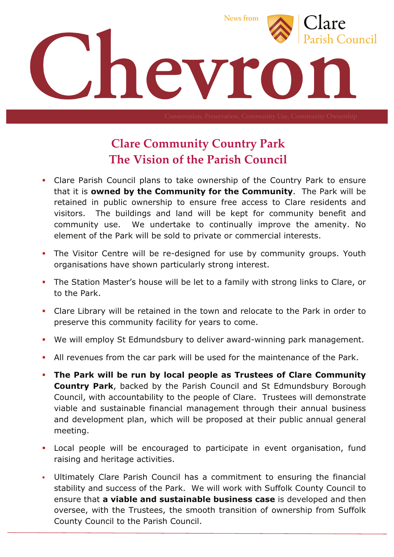

## **Clare Community Country Park The Vision of the Parish Council**

- ! Clare Parish Council plans to take ownership of the Country Park to ensure that it is **owned by the Community for the Community**. The Park will be retained in public ownership to ensure free access to Clare residents and visitors. The buildings and land will be kept for community benefit and community use. We undertake to continually improve the amenity. No element of the Park will be sold to private or commercial interests.
- . The Visitor Centre will be re-designed for use by community groups. Youth organisations have shown particularly strong interest.
- ! The Station Master's house will be let to a family with strong links to Clare, or to the Park.
- ! Clare Library will be retained in the town and relocate to the Park in order to preserve this community facility for years to come.
- ! We will employ St Edmundsbury to deliver award-winning park management.
- ! All revenues from the car park will be used for the maintenance of the Park.
- ! **The Park will be run by local people as Trustees of Clare Community Country Park**, backed by the Parish Council and St Edmundsbury Borough Council, with accountability to the people of Clare. Trustees will demonstrate viable and sustainable financial management through their annual business and development plan, which will be proposed at their public annual general meeting.
- **EXEC** Local people will be encouraged to participate in event organisation, fund raising and heritage activities.
- ! Ultimately Clare Parish Council has a commitment to ensuring the financial stability and success of the Park. We will work with Suffolk County Council to ensure that **a viable and sustainable business case** is developed and then oversee, with the Trustees, the smooth transition of ownership from Suffolk County Council to the Parish Council.